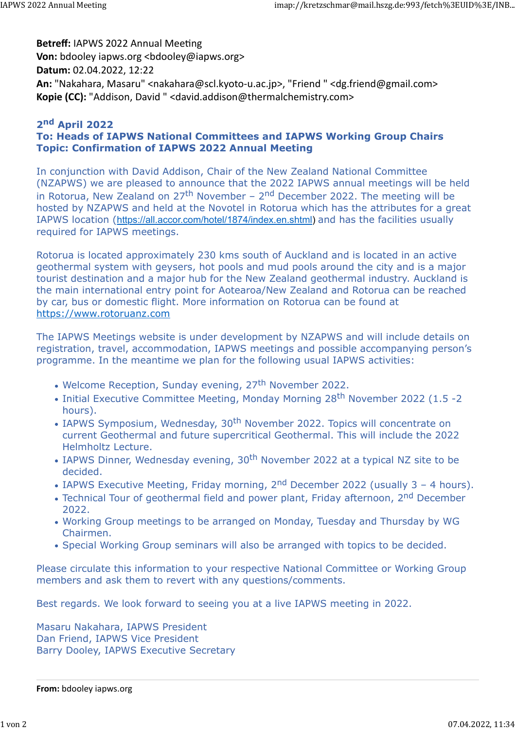**Betreff: IAPWS 2022 Annual Meeting Von:** bdooley iapws.org <br/>bdooley@iapws.org> **Datum:** 02.04.2022, 12:22 **An:** "Nakahara, Masaru" <nakahara@scl.kyoto‐u.ac.jp>, "Friend " <dg.friend@gmail.com> **Kopie (CC):** "Addison, David " <david.addison@thermalchemistry.com>

## **2nd April 2022 To: Heads of IAPWS National Committees and IAPWS Working Group Chairs Topic: Confirmation of IAPWS 2022 Annual Meeting**

In conjunction with David Addison, Chair of the New Zealand National Committee (NZAPWS) we are pleased to announce that the 2022 IAPWS annual meetings will be held in Rotorua, New Zealand on 27<sup>th</sup> November – 2<sup>nd</sup> December 2022. The meeting will be hosted by NZAPWS and held at the Novotel in Rotorua which has the attributes for a great IAPWS location (https://all.accor.com/hotel/1874/index.en.shtml) and has the facilities usually required for IAPWS meetings.

Rotorua is located approximately 230 kms south of Auckland and is located in an active geothermal system with geysers, hot pools and mud pools around the city and is a major tourist destination and a major hub for the New Zealand geothermal industry. Auckland is the main international entry point for Aotearoa/New Zealand and Rotorua can be reached by car, bus or domestic flight. More information on Rotorua can be found at https://www.rotoruanz.com

The IAPWS Meetings website is under development by NZAPWS and will include details on registration, travel, accommodation, IAPWS meetings and possible accompanying person's programme. In the meantime we plan for the following usual IAPWS activities:

- Welcome Reception, Sunday evening, 27<sup>th</sup> November 2022.
- Initial Executive Committee Meeting, Monday Morning 28<sup>th</sup> November 2022 (1.5 -2) hours).
- IAPWS Symposium, Wednesday, 30<sup>th</sup> November 2022. Topics will concentrate on current Geothermal and future supercritical Geothermal. This will include the 2022 Helmholtz Lecture.
- IAPWS Dinner, Wednesday evening,  $30<sup>th</sup>$  November 2022 at a typical NZ site to be decided.
- IAPWS Executive Meeting, Friday morning,  $2<sup>nd</sup>$  December 2022 (usually 3 4 hours).
- Technical Tour of geothermal field and power plant, Friday afternoon, 2<sup>nd</sup> December 2022.
- Working Group meetings to be arranged on Monday, Tuesday and Thursday by WG Chairmen.
- Special Working Group seminars will also be arranged with topics to be decided.

Please circulate this information to your respective National Committee or Working Group members and ask them to revert with any questions/comments.

Best regards. We look forward to seeing you at a live IAPWS meeting in 2022.

Masaru Nakahara, IAPWS President Dan Friend, IAPWS Vice President Barry Dooley, IAPWS Executive Secretary